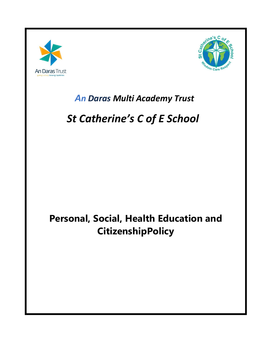



### An Daras Multi Academy Trust

## **St Catherine's C of E School**

### Personal, Social, Health Education and **CitizenshipPolicy**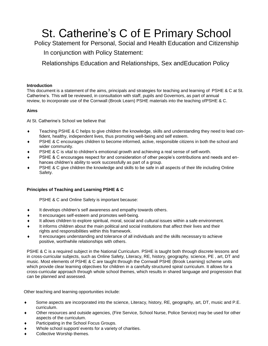# St. Catherine's C of E Primary School

Policy Statement for Personal, Social and Health Education and Citizenship

In conjunction with Policy Statement:

Relationships Education and Relationships, Sex andEducation Policy

#### **Introduction**

This document is a statement of the aims, principals and strategies for teaching and learning of PSHE & C at St. Catherine's. This will be reviewed, in consultation with staff, pupils and Governors, as part of annual review, to incorporate use of the Cornwall (Brook Learn) PSHE materials into the teaching ofPSHE & C.

#### **Aims**

At St. Catherine's School we believe that

- ◆ Teaching PSHE & C helps to give children the knowledge, skills and understanding they need to lead confident, healthy, independent lives, thus promoting well-being and self esteem.
- PSHE & C encourages children to become informed, active, responsible citizens in both the school and wider community.
- PSHE & C is vital to children's emotional growth and achieving a real sense of self-worth.
- PSHE & C encourages respect for and consideration of other people's contributions and needs and enhances children's ability to work successfully as part of a group.
- PSHE & C give children the knowledge and skills to be safe in all aspects of their life including Online Safety.

#### **Principles of Teaching and Learning PSHE & C**

PSHE & C and Online Safety is important because:

- $\bullet$  It develops children's self awareness and empathy towards others.
- It encourages self-esteem and promotes well-being.
- It allows children to explore spiritual, moral, social and cultural issues within a safe environment.
- It informs children about the main political and social institutions that affect their lives and their rights and responsibilities within this framework.
- It encourages understanding and tolerance of all individuals and the skills necessary to achieve positive, worthwhile relationships with others.

PSHE & C is a required subject in the National Curriculum. PSHE is taught both through discrete lessons and in cross-curricular subjects, such as Online Safety, Literacy, RE, history, geography, science, PE , art, DT and music. Most elements of PSHE & C are taught through the Cornwall PSHE (Brook Learning) scheme units which provide clear learning objectives for children in a carefully structured spiral curriculum. It allows for a cross-curricular approach through whole school themes, which results in shared language and progression that can be planned and assessed.

Other teaching and learning opportunities include:

- Some aspects are incorporated into the science, Literacy, history, RE, geography, art, DT, music and P.E. curriculum.
- Other resources and outside agencies, (Fire Service, School Nurse, Police Service) may be used for other aspects of the curriculum.
- Participating in the School Focus Groups.
- Whole school support/ events for a variety of charities.
- Collective Worship themes.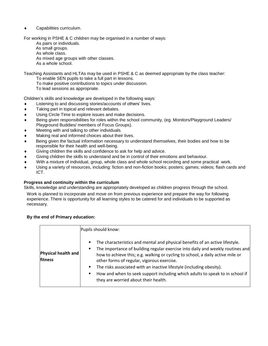Capabilities curriculum.

For working in PSHE & C children may be organised in a number of ways:

As pairs or individuals. As small groups. As whole class.

As mixed age groups with other classes. As a whole school.

Teaching Assistants and HLTAs may be used in PSHE & C as deemed appropriate by the class teacher:

To enable SEN pupils to take a full part in lessons.

To make positive contributions to topics under discussion.

To lead sessions as appropriate.

Children's skills and knowledge are developed in the following ways:

- Listening to and discussing stories/accounts of others' lives.
- $\bullet$  Taking part in topical and relevant debates.
- Using Circle Time to explore issues and make decisions.
- Being given responsibilities for roles within the school community, (eg. Monitors/Playground Leaders/ Playground Buddies/ members of Focus Groups).
- Meeting with and talking to other individuals.
- Making real and informed choices about their lives.
- Being given the factual information necessary to understand themselves, their bodies and how to be responsible for their health and well-being.
- Giving children the skills and confidence to ask for help and advice.
- Giving children the skills to understand and be in control of their emotions and behaviour.
- With a mixture of individual, group, whole class and whole school recording and some practical work.
- Using a variety of resources, including: fiction and non-fiction books; posters; games; videos; flash cards and ICT.

#### **Progress and continuity within the curriculum**

Skills, knowledge and understanding are appropriately developed as children progress through the school.

Work is planned to incorporate and move on from previous experience and prepare the way for following experience. There is opportunity for all learning styles to be catered for and individuals to be supported as necessary.

#### **By the end of Primary education:**

|                                       | Pupils should know:                                                                                                                                                                                                                                                                                                                                                                                                                                                                                           |  |  |  |  |
|---------------------------------------|---------------------------------------------------------------------------------------------------------------------------------------------------------------------------------------------------------------------------------------------------------------------------------------------------------------------------------------------------------------------------------------------------------------------------------------------------------------------------------------------------------------|--|--|--|--|
| <b>Physical health and</b><br>fitness | The characteristics and mental and physical benefits of an active lifestyle.<br>٠<br>The importance of building regular exercise into daily and weekly routines and<br>٠<br>how to achieve this; e.g. walking or cycling to school, a daily active mile or<br>other forms of regular, vigorous exercise.<br>The risks associated with an inactive lifestyle (including obesity).<br>How and when to seek support including which adults to speak to in school if<br>٠<br>they are worried about their health. |  |  |  |  |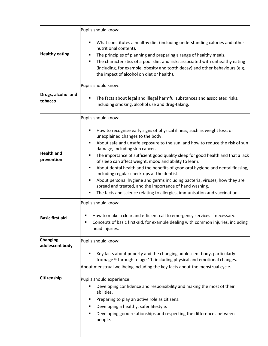|                                 | Pupils should know:                                                                                                                                                                                                                                                                                                                                                                                                                                                                                                                                                                                                                                                                                                                  |  |  |  |  |  |
|---------------------------------|--------------------------------------------------------------------------------------------------------------------------------------------------------------------------------------------------------------------------------------------------------------------------------------------------------------------------------------------------------------------------------------------------------------------------------------------------------------------------------------------------------------------------------------------------------------------------------------------------------------------------------------------------------------------------------------------------------------------------------------|--|--|--|--|--|
| <b>Healthy eating</b>           | What constitutes a healthy diet (including understanding calories and other<br>nutritional content).<br>The principles of planning and preparing a range of healthy meals.<br>The characteristics of a poor diet and risks associated with unhealthy eating<br>(including, for example, obesity and tooth decay) and other behaviours (e.g.<br>the impact of alcohol on diet or health).                                                                                                                                                                                                                                                                                                                                             |  |  |  |  |  |
|                                 | Pupils should know:                                                                                                                                                                                                                                                                                                                                                                                                                                                                                                                                                                                                                                                                                                                  |  |  |  |  |  |
| Drugs, alcohol and<br>tobacco   | The facts about legal and illegal harmful substances and associated risks,<br>including smoking, alcohol use and drug-taking.                                                                                                                                                                                                                                                                                                                                                                                                                                                                                                                                                                                                        |  |  |  |  |  |
|                                 | Pupils should know:                                                                                                                                                                                                                                                                                                                                                                                                                                                                                                                                                                                                                                                                                                                  |  |  |  |  |  |
| <b>Health and</b><br>prevention | How to recognise early signs of physical illness, such as weight loss, or<br>unexplained changes to the body.<br>About safe and unsafe exposure to the sun, and how to reduce the risk of sun<br>damage, including skin cancer.<br>The importance of sufficient good quality sleep for good health and that a lack<br>of sleep can affect weight, mood and ability to learn.<br>About dental health and the benefits of good oral hygiene and dental flossing,<br>including regular check-ups at the dentist.<br>About personal hygiene and germs including bacteria, viruses, how they are<br>spread and treated, and the importance of hand washing.<br>The facts and science relating to allergies, immunisation and vaccination. |  |  |  |  |  |
|                                 | Pupils should know:                                                                                                                                                                                                                                                                                                                                                                                                                                                                                                                                                                                                                                                                                                                  |  |  |  |  |  |
| <b>Basic first aid</b>          | How to make a clear and efficient call to emergency services if necessary.<br>п<br>Concepts of basic first-aid, for example dealing with common injuries, including<br>head injuries.                                                                                                                                                                                                                                                                                                                                                                                                                                                                                                                                                |  |  |  |  |  |
| <b>Changing</b>                 | Pupils should know:                                                                                                                                                                                                                                                                                                                                                                                                                                                                                                                                                                                                                                                                                                                  |  |  |  |  |  |
| adolescent body                 | Key facts about puberty and the changing adolescent body, particularly<br>fromage 9 through to age 11, including physical and emotional changes.<br>About menstrual wellbeing including the key facts about the menstrual cycle.                                                                                                                                                                                                                                                                                                                                                                                                                                                                                                     |  |  |  |  |  |
| <b>Citizenship</b>              | Pupils should experience:                                                                                                                                                                                                                                                                                                                                                                                                                                                                                                                                                                                                                                                                                                            |  |  |  |  |  |
|                                 | Developing confidence and responsibility and making the most of their<br>abilities.<br>Preparing to play an active role as citizens.<br>Developing a healthy, safer lifestyle.<br>Developing good relationships and respecting the differences between<br>people.                                                                                                                                                                                                                                                                                                                                                                                                                                                                    |  |  |  |  |  |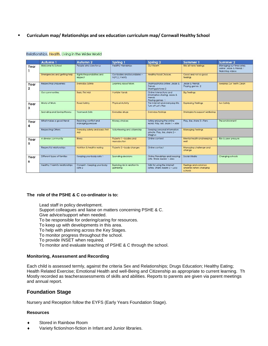▪ **Curriculum map/ Relationships and sex education curriculum map/ Cornwall Healthy School**

|                                 | Autumn 1                        | Autumn <sub>2</sub>                           | Spring 1                                   | Spring 2                                                                               | Summer 1                                                  | <b>Summer 2</b>                                                           |
|---------------------------------|---------------------------------|-----------------------------------------------|--------------------------------------------|----------------------------------------------------------------------------------------|-----------------------------------------------------------|---------------------------------------------------------------------------|
| Year                            | Welcome to School               | People who care for us                        | <b>Healthy Friendships</b>                 | Our Health                                                                             | We all have feelings                                      | Managing our time safely<br>online: Jessie & Friends 1<br>Watching videos |
|                                 | Emergencies and getting help    | <b>Rights Responsibilities and</b><br>respect | Our bodies and boundaries -<br>NSPCC PANTS | <b>Healthy Food Choices</b>                                                            | Good and not so aood<br>feelings                          |                                                                           |
| Year<br>$\overline{\mathbf{2}}$ | <b>Respecting Uniqueness</b>    | <b>Everyday Safety</b>                        | Learning About Work                        | Sharina photos online: Jessie &<br>Friends<br>Sharing pictures 2                       | Jessie & Friends<br>Plavina aames 2                       | Keeping Our Teeth Clean                                                   |
|                                 | Our communities                 | <b>Basic First Aid</b>                        | <b>Horrible Hands</b>                      | Online interactions and<br>information sharing: Jessie &<br>Friends<br>Playing games 1 | <b>Big Feelings</b>                                       |                                                                           |
| Year<br>3                       | World of Work                   | <b>Road Safety</b>                            | <b>Physical Activity</b>                   | The internet and everyday life.<br>Turn off Let's Play                                 | <b>Expressing Feelings</b>                                | Sun Safety                                                                |
|                                 | Spending and Savina Money       | <b>Teamwork Skills</b>                        | Everyday druas                             | <b>Evervday feelings</b>                                                               | Strategies to support wellbeing                           |                                                                           |
| Year<br>4                       | What makes a good friend        | Resolving conflict and<br>managing pressure   | Money choices                              | Safely enjoying the online<br>world, Play, like, share 1 - Alfie                       | Play, like, share 3 - Fans                                | The environment                                                           |
|                                 | <b>Respecting Others</b>        | <b>Everyday safety and basic First</b><br>Aid | Volunteering and citizenship               | Keeping personal information<br>private. Play, like, share 2-<br>Magnus                | <b>Managina Feelings</b>                                  |                                                                           |
| Year<br>5                       | A diverse community             | <b>Illness</b>                                | Puberty 1 - bodies and<br>reproduction     | Online content                                                                         | Mental health and keeping<br>well                         | Risk & peer pressure                                                      |
|                                 | Respectful relationships        | Nutrition & healthy eating                    | Puberty 2 - body changes                   | Online contact                                                                         | Managing challenge and<br>change                          |                                                                           |
| Year<br>6                       | Different types of families     | Keeping your body safe 1                      | Spending decisions                         | Online friendships and keeping<br>safe, Share Aware 1- Alex                            | Social Media                                              | Chanaina schools                                                          |
|                                 | Healthy / harmful relationships | Consent - Keeping your body<br>safe 2         | Exploring risk in relation to<br>aambling  | Skills for using the internet<br>safely. Share Aware 2 - Lucy                          | Feelings and common<br>anxieties when chanaina<br>schools |                                                                           |

#### Relationships, Health, Living in the Wider World

#### **The role of the PSHE & C co-ordinator is to:**

Lead staff in policy development. Support colleagues and liaise on matters concerning PSHE & C. Give advice/support when needed. To be responsible for ordering/caring for resources. To keep up with developments in this area. To help with planning across the Key Stages. To monitor progress throughout the school. To provide INSET when required. To monitor and evaluate teaching of PSHE & C through the school.

#### **Monitoring, Assessment and Recording**

Each child is assessed termly, against the criteria Sex and Relationships; Drugs Education; Healthy Eating; Health Related Exercise; Emotional Health and well-Being and Citizenship as appropriate to current learning. Th Mostly recorded as teacherassessments of skills and abilities. Reports to parents are given via parent meetings and annual report.

#### **Foundation Stage**

Nursery and Reception follow the EYFS (Early Years Foundation Stage).

#### **Resources**

- Stored in Rainbow Room
- Variety fiction/non-fiction in Infant and Junior libraries.